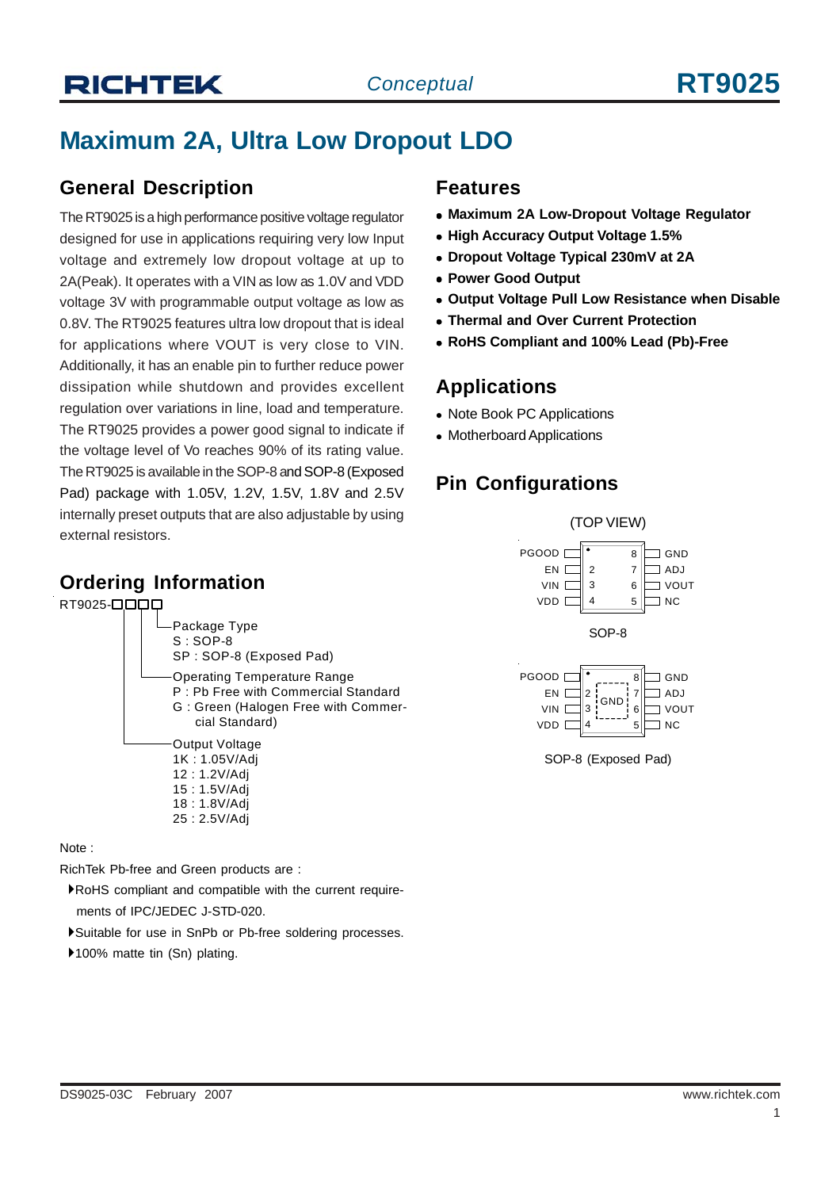# **Maximum 2A, Ultra Low Dropout LDO**

#### **General Description**

The RT9025 is a high performance positive voltage regulator designed for use in applications requiring very low Input voltage and extremely low dropout voltage at up to 2A(Peak). It operates with a VIN as low as 1.0V and VDD voltage 3V with programmable output voltage as low as 0.8V. The RT9025 features ultra low dropout that is ideal for applications where VOUT is very close to VIN. Additionally, it has an enable pin to further reduce power dissipation while shutdown and provides excellent regulation over variations in line, load and temperature. The RT9025 provides a power good signal to indicate if the voltage level of Vo reaches 90% of its rating value. The RT9025 is available in the SOP-8 and SOP-8 (Exposed Pad) package with 1.05V, 1.2V, 1.5V, 1.8V and 2.5V internally preset outputs that are also adjustable by using external resistors.

#### **Ordering Information**





Note :

RichTek Pb-free and Green products are :

- `RoHS compliant and compatible with the current require ments of IPC/JEDEC J-STD-020.
- `Suitable for use in SnPb or Pb-free soldering processes.
- ▶100% matte tin (Sn) plating.

#### **Features**

- **Maximum 2A Low-Dropout Voltage Regulator**
- **High Accuracy Output Voltage 1.5%**
- <sup>z</sup> **Dropout Voltage Typical 230mV at 2A**
- <sup>z</sup> **Power Good Output**
- **Output Voltage Pull Low Resistance when Disable**
- <sup>z</sup> **Thermal and Over Current Protection**
- <sup>z</sup> **RoHS Compliant and 100% Lead (Pb)-Free**

#### **Applications**

- Note Book PC Applications
- Motherboard Applications

## **Pin Configurations**



SOP-8 (Exposed Pad)

4 5

3.

 $\exists$  NC

VDD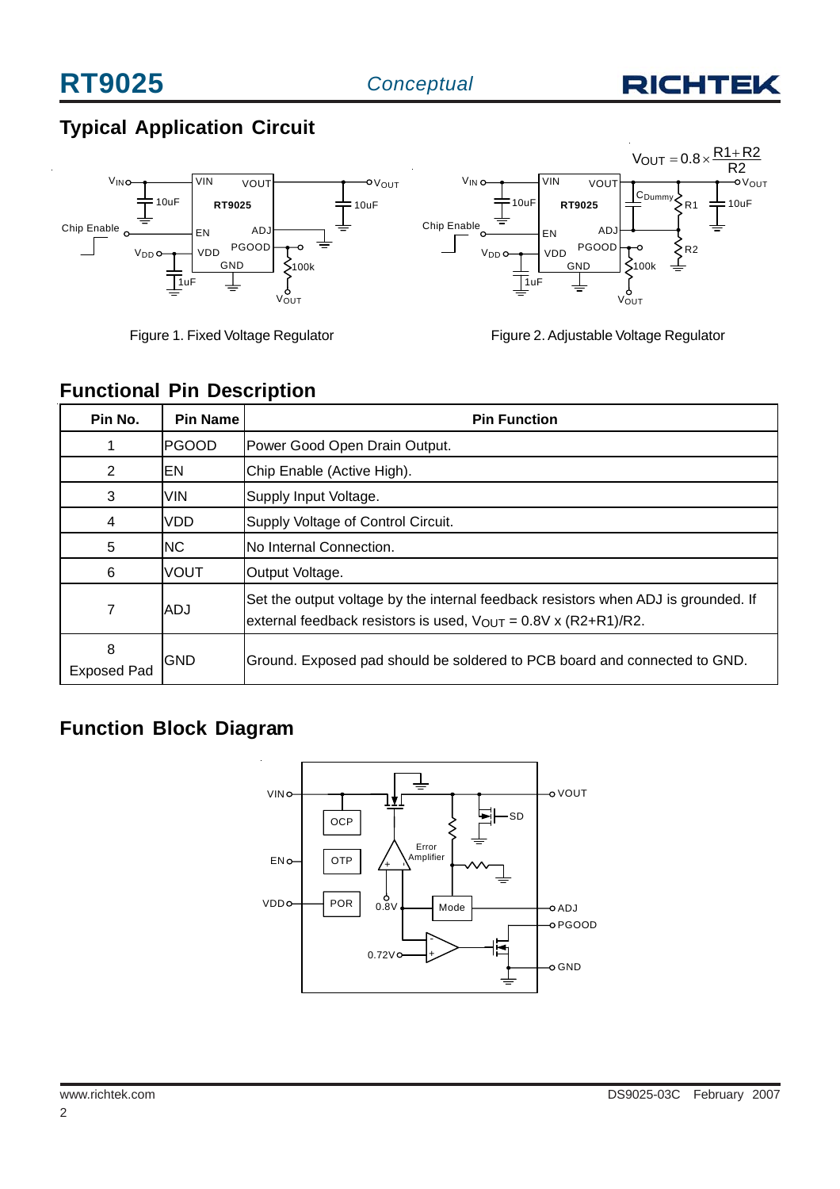

# **Typical Application Circuit**



Figure 1. Fixed Voltage Regulator



| Figure 2. Adjustable Voltage Regulator |  |
|----------------------------------------|--|
|                                        |  |

#### **Functional Pin Description**

| Pin No.                 | <b>Pin Name</b> | <b>Pin Function</b>                                                                                                                                              |
|-------------------------|-----------------|------------------------------------------------------------------------------------------------------------------------------------------------------------------|
|                         | IPGOOD.         | Power Good Open Drain Output.                                                                                                                                    |
| 2                       | ΙEΝ             | Chip Enable (Active High).                                                                                                                                       |
| 3                       | <b>VIN</b>      | Supply Input Voltage.                                                                                                                                            |
| 4                       | <b>VDD</b>      | Supply Voltage of Control Circuit.                                                                                                                               |
| 5                       | INC.            | No Internal Connection.                                                                                                                                          |
| 6                       | <b>VOUT</b>     | Output Voltage.                                                                                                                                                  |
| 7                       | <b>ADJ</b>      | Set the output voltage by the internal feedback resistors when ADJ is grounded. If<br>external feedback resistors is used, $V_{\text{OUT}} = 0.8V$ x (R2+R1)/R2. |
| 8<br><b>Exposed Pad</b> | <b>GND</b>      | Ground. Exposed pad should be soldered to PCB board and connected to GND.                                                                                        |

# **Function Block Diagram**

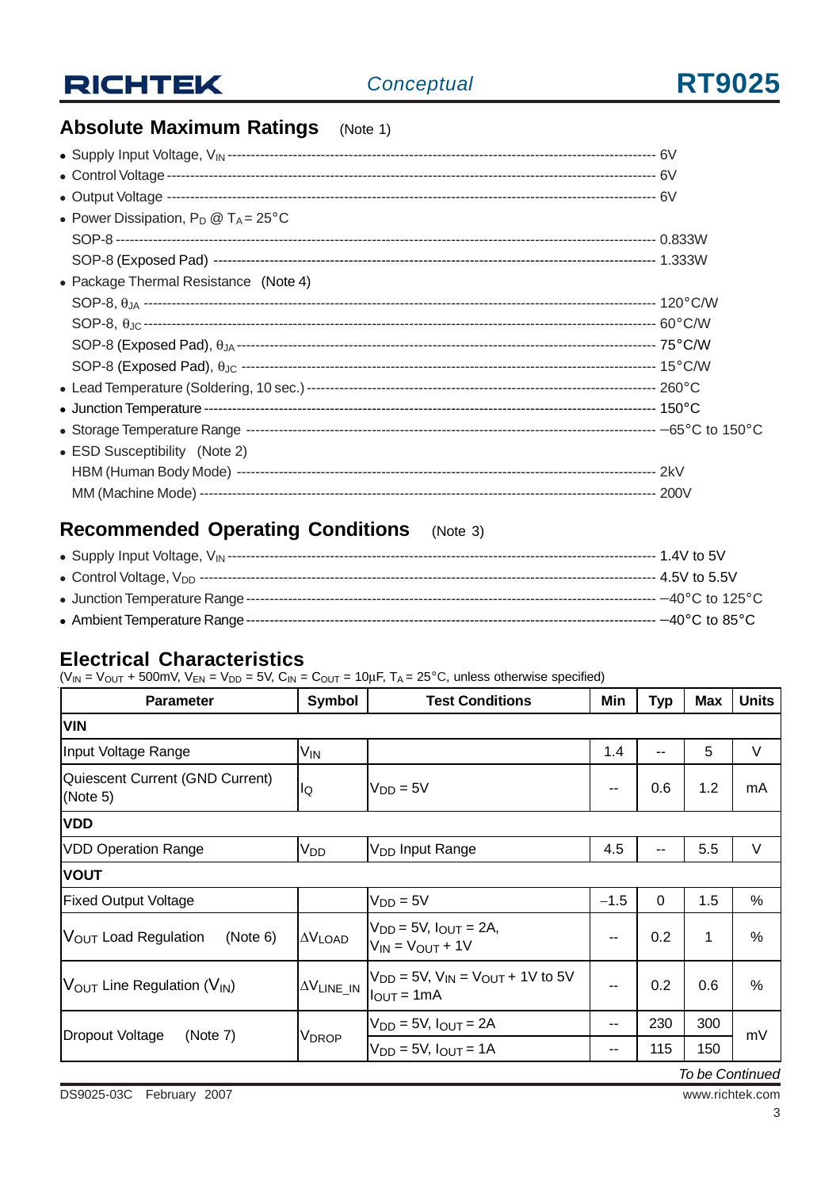

# **Absolute Maximum Ratings** (Note 1)

| • Power Dissipation, $P_D @ T_A = 25^{\circ}C$ |  |
|------------------------------------------------|--|
|                                                |  |
|                                                |  |
| • Package Thermal Resistance (Note 4)          |  |
|                                                |  |
|                                                |  |
|                                                |  |
|                                                |  |
|                                                |  |
|                                                |  |
|                                                |  |
| • ESD Susceptibility (Note 2)                  |  |
|                                                |  |
|                                                |  |
|                                                |  |

# **Recommended Operating Conditions** (Note 3)

#### **Electrical Characteristics**

 $(V_{IN} = V_{OUT} + 500$ mV,  $V_{EN} = V_{DD} = 5V$ ,  $C_{IN} = C_{OUT} = 10 \mu F$ ,  $T_A = 25^{\circ}C$ , unless otherwise specified)

| <b>Parameter</b>                                     | <b>Symbol</b>           | <b>Test Conditions</b>                                                          | Min    | <b>Typ</b>   | <b>Max</b> | <b>Units</b>  |  |  |
|------------------------------------------------------|-------------------------|---------------------------------------------------------------------------------|--------|--------------|------------|---------------|--|--|
| <b>VIN</b>                                           |                         |                                                                                 |        |              |            |               |  |  |
| Input Voltage Range                                  | V <sub>IN</sub>         |                                                                                 | 1.4    | --           | 5          | V             |  |  |
| Quiescent Current (GND Current)<br>(Note 5)          | lQ                      | $V_{DD} = 5V$                                                                   |        | 0.6          | 1.2        | mA            |  |  |
| <b>VDD</b>                                           |                         |                                                                                 |        |              |            |               |  |  |
| <b>VDD Operation Range</b>                           | V <sub>DD</sub>         | V <sub>DD</sub> Input Range                                                     | 4.5    | --           | 5.5        | $\vee$        |  |  |
| <b>VOUT</b>                                          |                         |                                                                                 |        |              |            |               |  |  |
| <b>Fixed Output Voltage</b>                          |                         | $V_{DD} = 5V$                                                                   | $-1.5$ | $\mathbf{0}$ | 1.5        | %             |  |  |
| V <sub>OUT</sub> Load Regulation<br>(Note 6)         | $\Delta V$ load         | $V_{DD} = 5V$ , $I_{OUT} = 2A$ ,<br>$V_{IN} = V_{OUT} + 1V$                     | --     | 0.2          | 1          | $\frac{0}{0}$ |  |  |
| $V_{\text{OUT}}$ Line Regulation ( $V_{\text{IN}}$ ) | $\Delta \rm{V}$ line_in | $V_{DD} = 5V$ , $V_{IN} = V_{OUT} + 1V$ to 5V<br>$I_{\text{OUT}} = 1 \text{mA}$ |        | 0.2          | 0.6        | $\frac{0}{0}$ |  |  |
|                                                      | V <sub>DROP</sub>       | $V_{DD} = 5V$ , $I_{OUT} = 2A$                                                  | --     | 230          | 300        | mV            |  |  |
| Dropout Voltage<br>(Note 7)                          |                         | $V_{DD} = 5V$ , $I_{OUT} = 1A$                                                  | --     | 115          | 150        |               |  |  |

*To be Continued*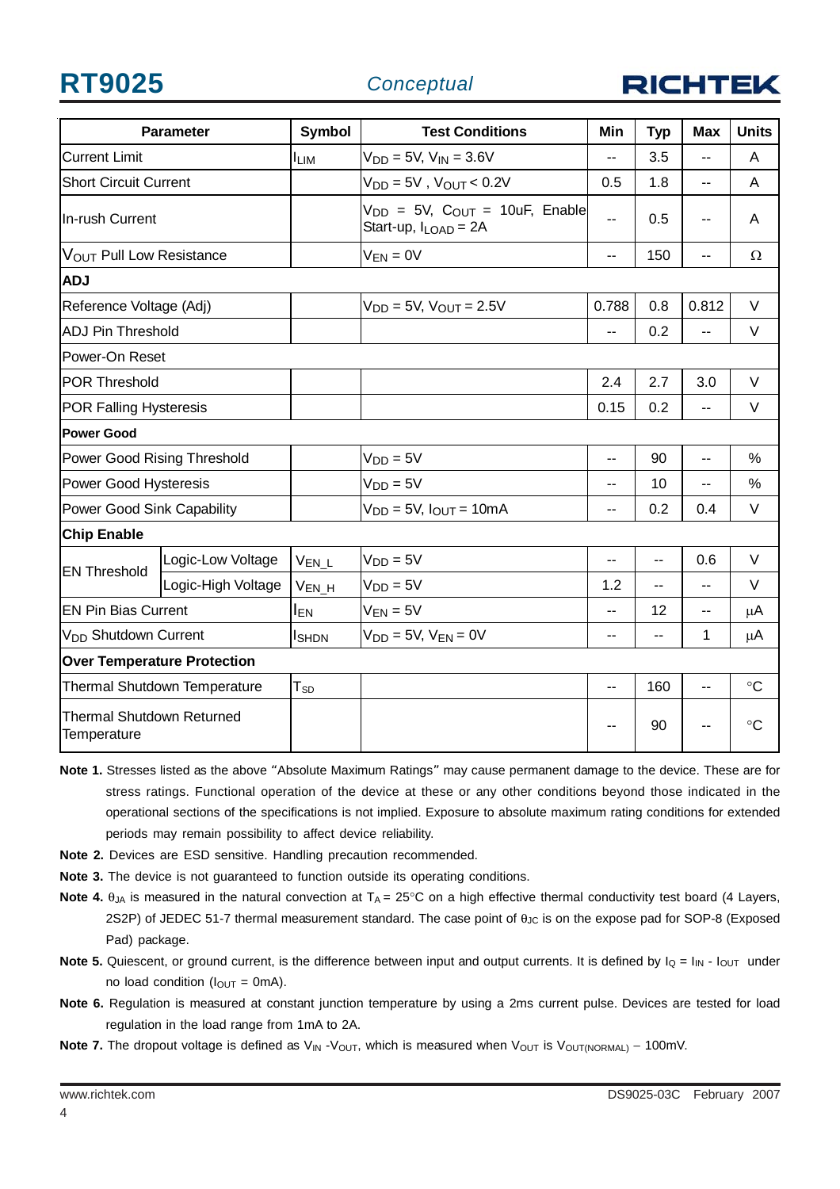**RT9025** *Conceptual*



| <b>Parameter</b>                                |                    | <b>Symbol</b>   | <b>Test Conditions</b>                                               | Min            | <b>Typ</b>     | <b>Max</b>     | <b>Units</b>    |
|-------------------------------------------------|--------------------|-----------------|----------------------------------------------------------------------|----------------|----------------|----------------|-----------------|
| <b>Current Limit</b>                            |                    | <b>ILIM</b>     | $V_{DD} = 5V$ , $V_{IN} = 3.6V$                                      | $\overline{a}$ | 3.5            | $\overline{a}$ | A               |
| <b>Short Circuit Current</b>                    |                    |                 | $V_{DD} = 5V$ , $V_{OUT} < 0.2V$                                     | 0.5            | 1.8            | $\overline{a}$ | A               |
| In-rush Current                                 |                    |                 | $V_{DD}$ = 5V, $C_{OUT}$ = 10uF, Enable<br>Start-up, $I_{LOAD} = 2A$ | --             | 0.5            | --             | A               |
| VOUT Pull Low Resistance                        |                    |                 | $V_{EN} = 0V$                                                        | $\overline{a}$ | 150            | $\overline{a}$ | $\Omega$        |
| <b>ADJ</b>                                      |                    |                 |                                                                      |                |                |                |                 |
| Reference Voltage (Adj)                         |                    |                 | $V_{DD} = 5V$ , $V_{OUT} = 2.5V$                                     | 0.788          | 0.8            | 0.812          | V               |
| <b>ADJ Pin Threshold</b>                        |                    |                 |                                                                      | $\overline{a}$ | 0.2            | --             | V               |
| Power-On Reset                                  |                    |                 |                                                                      |                |                |                |                 |
| <b>POR Threshold</b>                            |                    |                 |                                                                      | 2.4            | 2.7            | 3.0            | $\vee$          |
| <b>POR Falling Hysteresis</b>                   |                    |                 |                                                                      | 0.15           | 0.2            | --             | V               |
| <b>Power Good</b>                               |                    |                 |                                                                      |                |                |                |                 |
| Power Good Rising Threshold                     |                    |                 | $VDD = 5V$                                                           | --             | 90             | --             | $\frac{0}{0}$   |
| Power Good Hysteresis                           |                    |                 | $V_{DD} = 5V$                                                        | $\overline{a}$ | 10             | $\overline{a}$ | $\%$            |
| Power Good Sink Capability                      |                    |                 | $V_{DD} = 5V$ , $I_{OUT} = 10mA$                                     | $\overline{a}$ | 0.2            | 0.4            | V               |
| <b>Chip Enable</b>                              |                    |                 |                                                                      |                |                |                |                 |
| <b>EN Threshold</b>                             | Logic-Low Voltage  | $V_{EN\_L}$     | $V_{DD} = 5V$                                                        | --             | $\overline{a}$ | 0.6            | V               |
|                                                 | Logic-High Voltage | $V_{EN_H}$      | $V_{DD} = 5V$                                                        | 1.2            | $\overline{a}$ | Ξ.             | V               |
| <b>EN Pin Bias Current</b>                      |                    | I <sub>EN</sub> | $V_{EN} = 5V$                                                        | --             | 12             | --             | μA              |
| V <sub>DD</sub> Shutdown Current                |                    | <b>I</b> SHDN   | $V_{DD} = 5V$ , $V_{EN} = 0V$                                        | --             | --             | 1              | μA              |
| <b>Over Temperature Protection</b>              |                    |                 |                                                                      |                |                |                |                 |
| Thermal Shutdown Temperature                    |                    | $T_{SD}$        |                                                                      | --             | 160            | $-$            | $\circ$ C       |
| <b>Thermal Shutdown Returned</b><br>Temperature |                    |                 |                                                                      |                | 90             |                | $\rm ^{\circ}C$ |

- **Note 1.** Stresses listed as the above "Absolute Maximum Ratings" may cause permanent damage to the device. These are for stress ratings. Functional operation of the device at these or any other conditions beyond those indicated in the operational sections of the specifications is not implied. Exposure to absolute maximum rating conditions for extended periods may remain possibility to affect device reliability.
- **Note 2.** Devices are ESD sensitive. Handling precaution recommended.
- **Note 3.** The device is not guaranteed to function outside its operating conditions.
- **Note 4.** θ<sub>JA</sub> is measured in the natural convection at T<sub>A</sub> = 25°C on a high effective thermal conductivity test board (4 Layers, 2S2P) of JEDEC 51-7 thermal measurement standard. The case point of θ<sub>JC</sub> is on the expose pad for SOP-8 (Exposed Pad) package.
- Note 5. Quiescent, or ground current, is the difference between input and output currents. It is defined by  $I_Q = I_{IN} I_{OUT}$  under no load condition ( $I_{OUT} = 0$ mA).
- **Note 6.** Regulation is measured at constant junction temperature by using a 2ms current pulse. Devices are tested for load regulation in the load range from 1mA to 2A.
- **Note 7.** The dropout voltage is defined as V<sub>IN</sub> -V<sub>OUT</sub>, which is measured when V<sub>OUT</sub> is V<sub>OUT(NORMAL)</sub> − 100mV.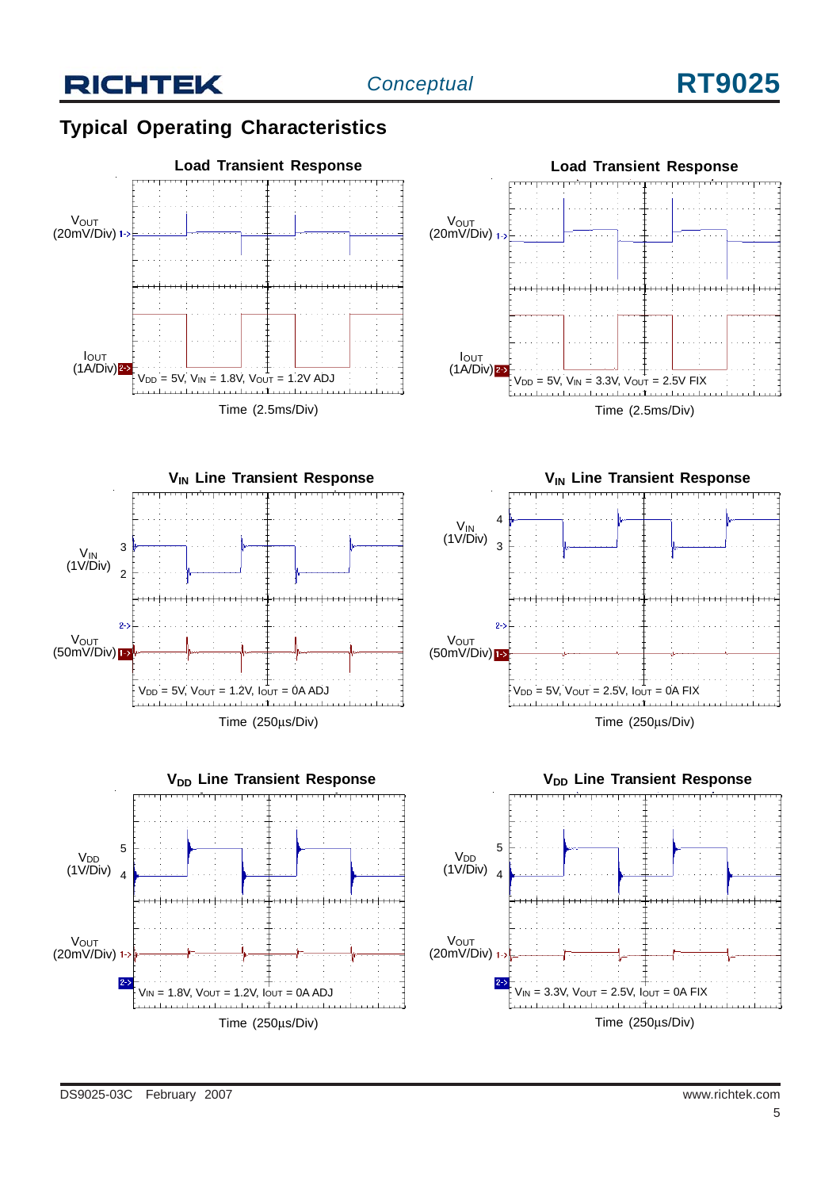## **Typical Operating Characteristics**











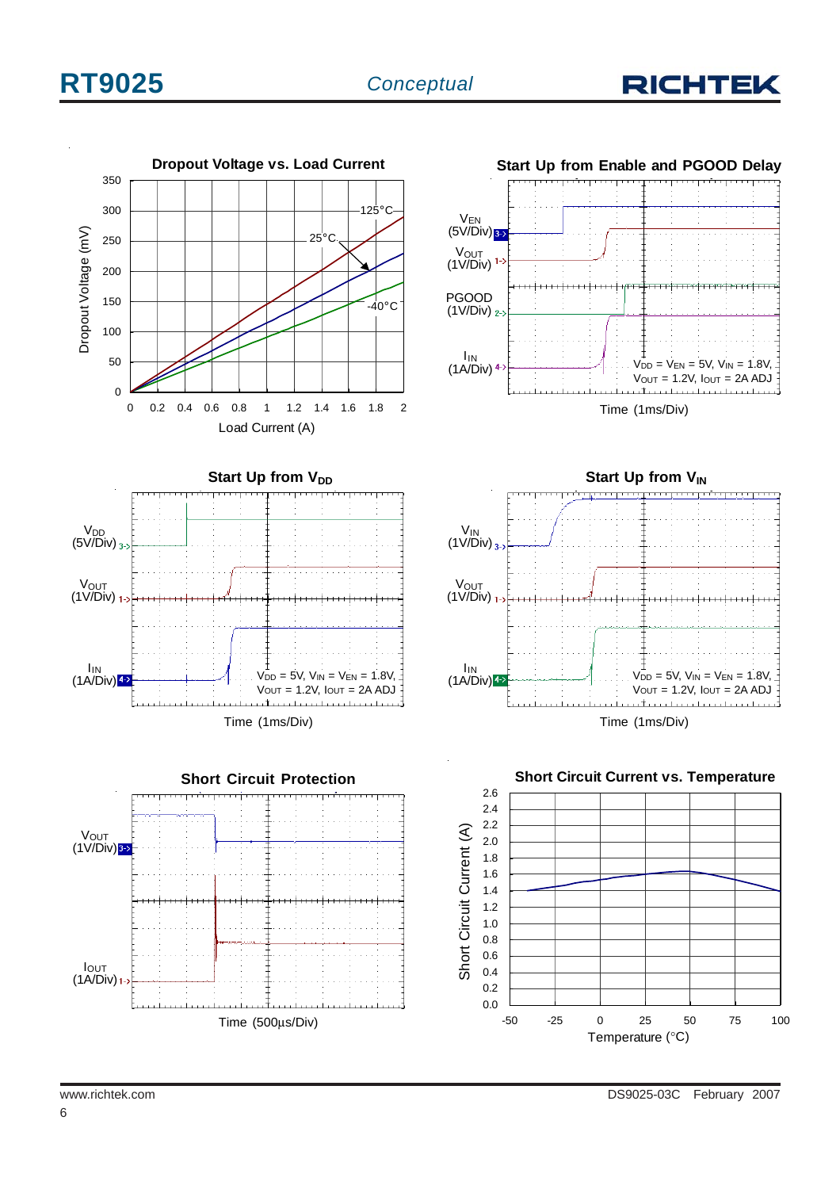

 $V_{DD} = V_{EN} = 5V$ ,  $V_{IN} = 1.8V$ ,  $V_{\text{OUT}} = 1.2V, I_{\text{OUT}} = 2A ADJ$ 



Time (500μs/Div)





Time (1ms/Div)

**Start Up from V<sub>IN</sub>** 

. . . . . . . . . . . . . . .

www.richtek.com DS9025-03C February 2007

IOUT  $(1$ A/Div) $_1$ 

(1V/Div)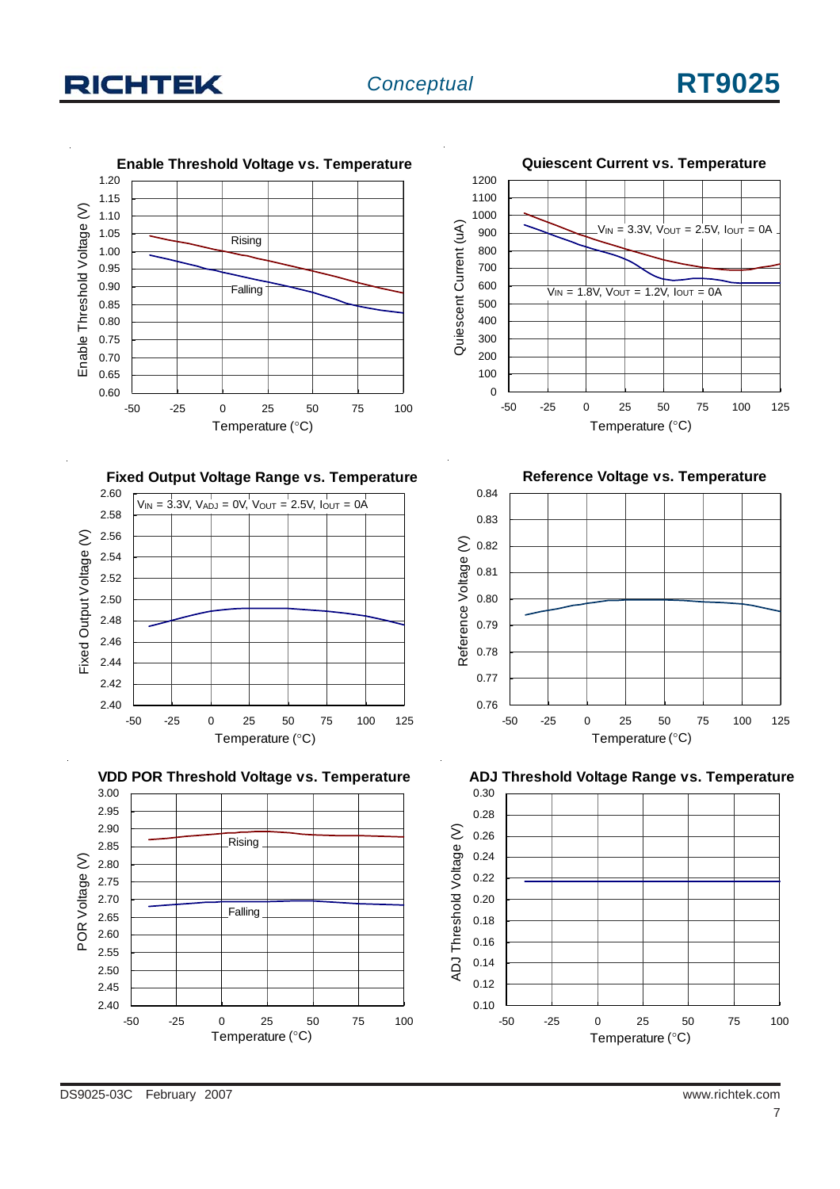# **RICHTEK**

# *Conceptual* **RT9025**











-50 -25 0 25 50 75 100 125 Temperature (°C)

**Reference Voltage vs. Temperature**

**Quiescent Current vs. Temperature**



**ADJ Threshold Voltage Range vs. Temperature**

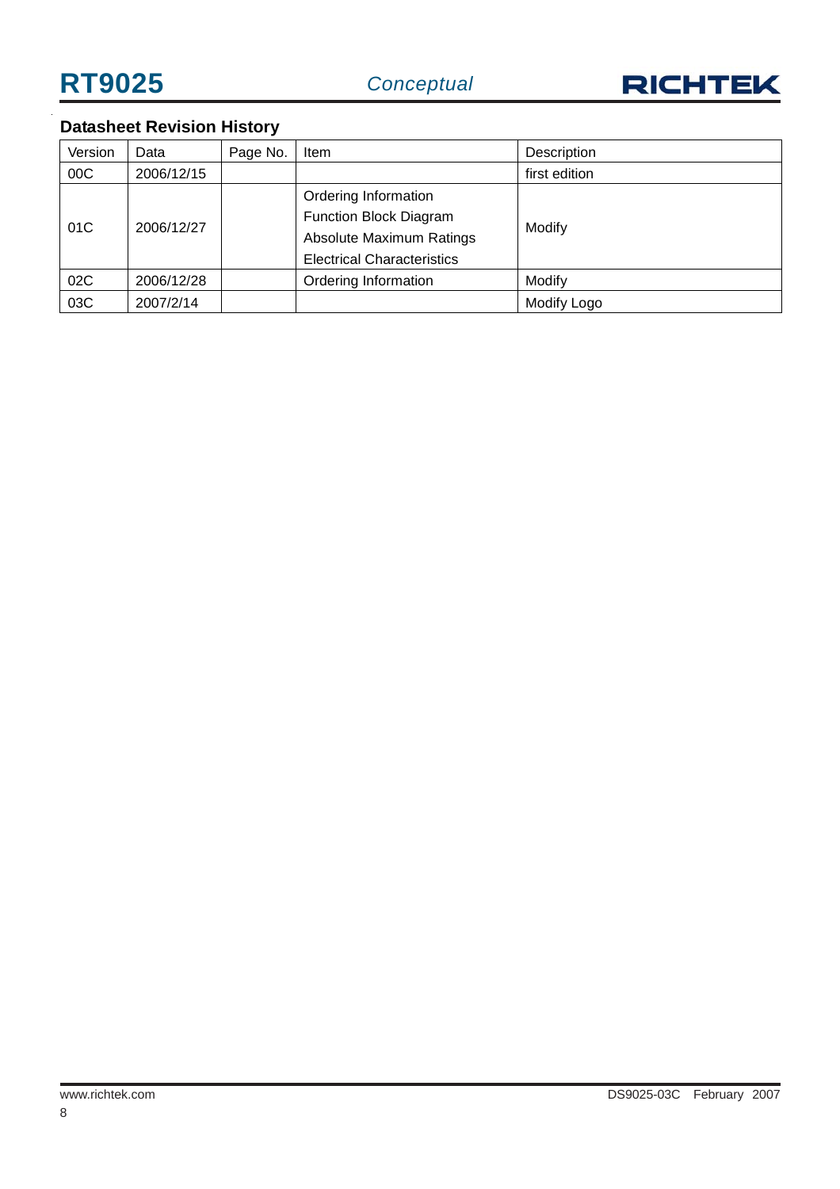

# **Datasheet Revision History**

| Version | Data       | Page No.                      | Item                              | Description   |
|---------|------------|-------------------------------|-----------------------------------|---------------|
| 00C     | 2006/12/15 |                               |                                   | first edition |
|         |            |                               | Ordering Information              |               |
|         |            | <b>Function Block Diagram</b> |                                   |               |
| 01C     | 2006/12/27 |                               | <b>Absolute Maximum Ratings</b>   | Modify        |
|         |            |                               | <b>Electrical Characteristics</b> |               |
| 02C     | 2006/12/28 |                               | Ordering Information              | Modify        |
| 03C     | 2007/2/14  |                               |                                   | Modify Logo   |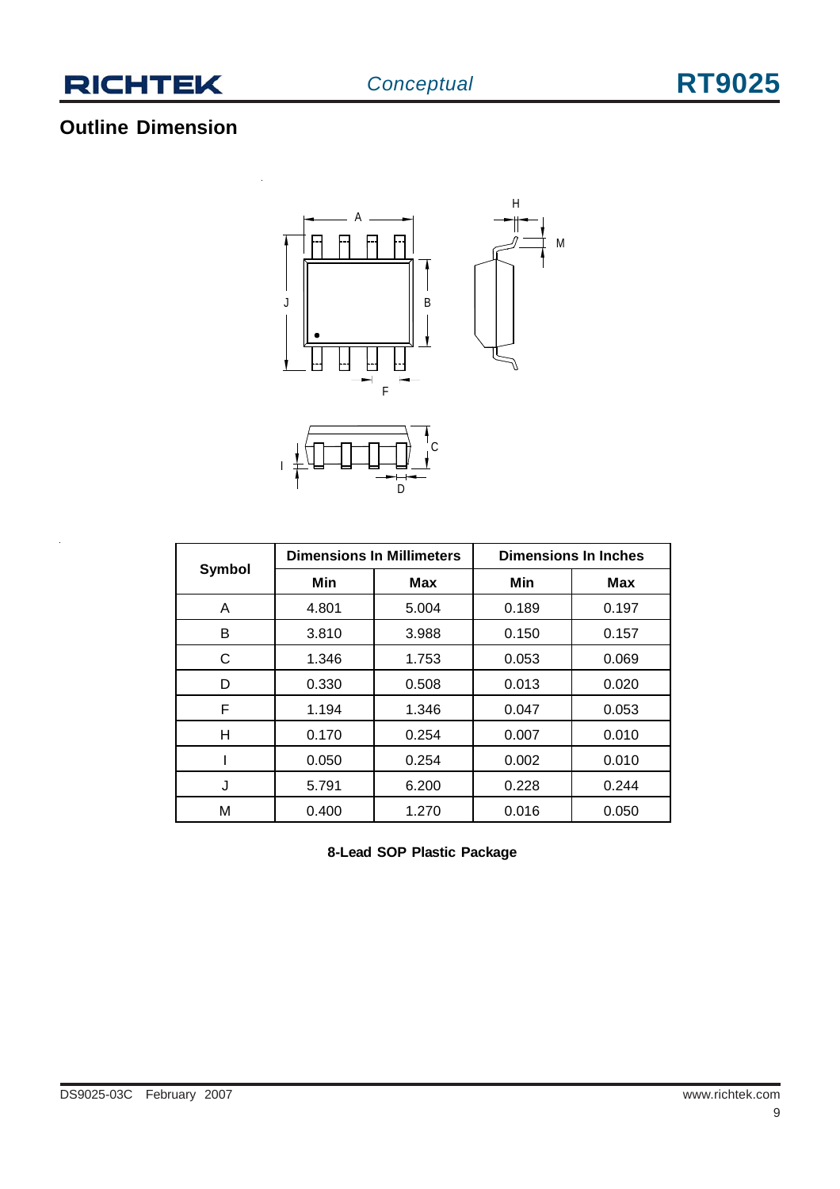

# **Outline Dimension**



| <b>Symbol</b> | <b>Dimensions In Millimeters</b> |            | <b>Dimensions In Inches</b> |            |  |
|---------------|----------------------------------|------------|-----------------------------|------------|--|
|               | Min                              | <b>Max</b> | Min                         | <b>Max</b> |  |
| A             | 4.801                            | 5.004      | 0.189                       | 0.197      |  |
| в             | 3.810                            | 3.988      | 0.150                       | 0.157      |  |
| C             | 1.346                            | 1.753      | 0.053                       | 0.069      |  |
| D             | 0.330                            | 0.508      | 0.013                       | 0.020      |  |
| F             | 1.194                            | 1.346      | 0.047                       | 0.053      |  |
| н             | 0.170                            | 0.254      | 0.007                       | 0.010      |  |
|               | 0.050                            | 0.254      | 0.002                       | 0.010      |  |
| J             | 5.791                            | 6.200      | 0.228                       | 0.244      |  |
| М             | 0.400                            | 1.270      | 0.016                       | 0.050      |  |

**8-Lead SOP Plastic Package**